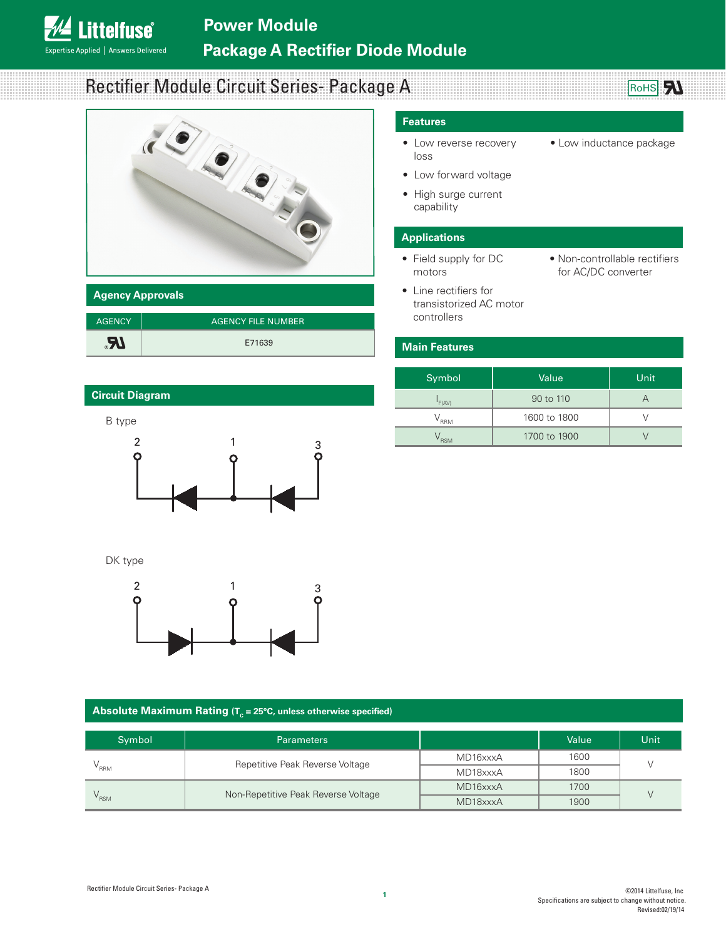# **Power Module Package A Rectifier Diode Module**

# Rectifier Module Circuit Series- Package A



#### **Agency Approvals**

**Littelfuse**®

Expertise Applied | Answers Delivered

| <b>AGENCY</b> | <b>AGENCY FILE NUMBER</b> |
|---------------|---------------------------|
| <b>Al</b>     | E71639                    |

### **Circuit Diagram**



DK type



#### **Absolute Maximum Rating (** $T_c$  **= 25°C, unless otherwise specified)**

| Symbol                          | <b>Parameters</b>                   |          | Value | Unit |
|---------------------------------|-------------------------------------|----------|-------|------|
| Repetitive Peak Reverse Voltage |                                     | MD16xxxA | 1600  |      |
| $"$ RRM                         |                                     | MD18xxxA | 1800  |      |
|                                 | Non-Repetitive Peak Reverse Voltage | MD16xxxA | 1700  |      |
| $\mathsf{RSM}$                  |                                     | MD18xxxA | 1900  |      |

#### **Features**

- Low reverse recovery loss
- Low forward voltage
- High surge current capability

#### **Applications**

- Field supply for DC motors
- Line rectifiers for transistorized AC motor controllers
- Non-controllable rectifiers for AC/DC converter

• Low inductance package

**BoHS** 

#### **Main Features**

| Symbol     | Value        | Unit |
|------------|--------------|------|
| F(AV)      | 90 to 110    |      |
| <b>RRM</b> | 1600 to 1800 |      |
| <b>RSM</b> | 1700 to 1900 |      |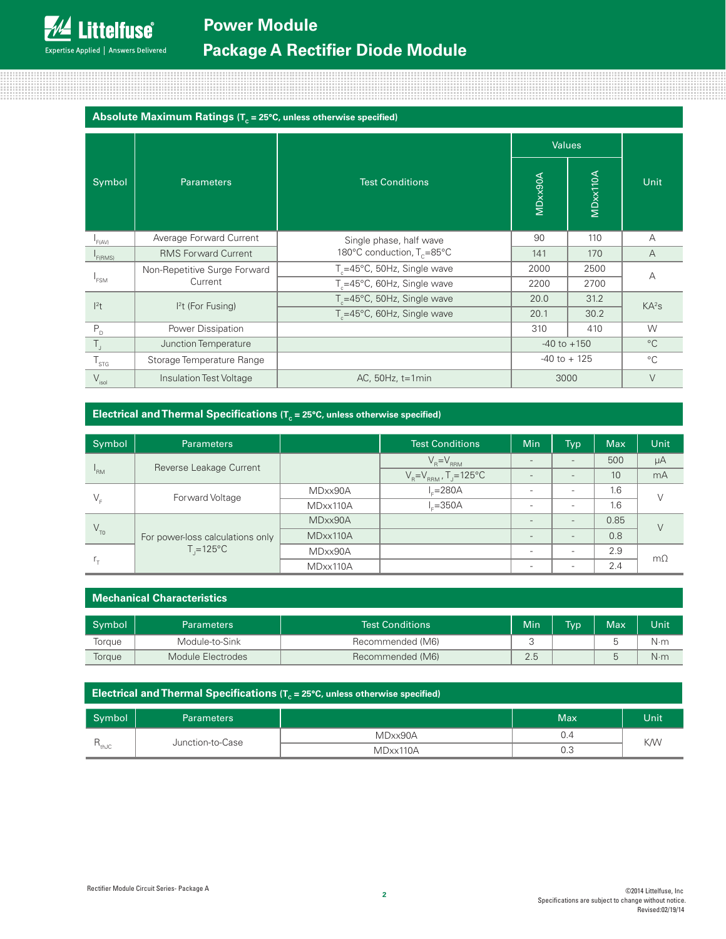### Absolute Maximum Ratings (T<sub>c</sub> = 25°C, unless otherwise specified)

|                        |                              |                                         | <b>Values</b>   |          |                   |  |
|------------------------|------------------------------|-----------------------------------------|-----------------|----------|-------------------|--|
| Symbol                 | <b>Parameters</b>            | <b>Test Conditions</b>                  | MDxx90A         | MDxx110A | Unit              |  |
| F(AV)                  | Average Forward Current      | Single phase, half wave                 | 90              | 110      | A                 |  |
| F(RMS)                 | <b>RMS Forward Current</b>   | 180°C conduction, T <sub>c</sub> =85°C  | 141             | 170      | $\overline{A}$    |  |
|                        | Non-Repetitive Surge Forward | $T_c = 45^{\circ}$ C, 50Hz, Single wave | 2000            | 2500     | A                 |  |
| <sup>1</sup> FSM       | Current                      | T <sub>c</sub> =45°C, 60Hz, Single wave | 2200            | 2700     |                   |  |
| $ ^{2}t$               |                              | $T_c = 45^{\circ}$ C, 50Hz, Single wave | 20.0            | 31.2     | KA <sup>2</sup> S |  |
|                        | $I2t$ (For Fusing)           | T <sub>c</sub> =45°C, 60Hz, Single wave | 20.1            | 30.2     |                   |  |
| $P_{\rm D}$            | Power Dissipation            |                                         | 310             | 410      | W                 |  |
| $T_{\rm J}$            | Junction Temperature         |                                         | $-40$ to $+150$ |          | $^{\circ}C$       |  |
| ${\sf T}_{\text{STG}}$ | Storage Temperature Range    |                                         | $-40$ to $+125$ |          | $^{\circ}C$       |  |
| $V_{\rm isol}$         | Insulation Test Voltage      | AC, $50Hz$ , $t=1min$                   | 3000            |          | $\vee$            |  |

#### **Electrical and Thermal Specifications (T<sub>c</sub> = 25°C, unless otherwise specified)**

| Symbol                     | <b>Parameters</b>                                      |          | <b>Test Conditions</b>                  | Min                      | Typ <sup>1</sup>         | <b>Max</b> | <b>Unit</b> |
|----------------------------|--------------------------------------------------------|----------|-----------------------------------------|--------------------------|--------------------------|------------|-------------|
|                            | Reverse Leakage Current                                |          | $V_R = V_{RRM}$                         | $\overline{\phantom{0}}$ |                          | 500        | μA          |
| <sup>1</sup> <sub>RM</sub> |                                                        |          | $V_R = V_{RRM}$ , T <sub>J</sub> =125°C | $\overline{\phantom{0}}$ | $\overline{\phantom{0}}$ | 10         | mA          |
| $V_{\epsilon}$             | Forward Voltage                                        | MDxx90A  | $L=280A$                                |                          |                          | 1.6        |             |
|                            |                                                        | MDxx110A | $L = 350A$                              |                          |                          | 1.6        |             |
| $\rm V_{\rm TO}$           | For power-loss calculations only<br>$T = 125^{\circ}C$ | MDxx90A  |                                         | $\overline{\phantom{0}}$ | $\overline{\phantom{a}}$ | 0.85       | $\vee$      |
|                            |                                                        | MDxx110A |                                         | $\overline{\phantom{0}}$ | $\overline{\phantom{a}}$ | 0.8        |             |
| $r_{+}$                    |                                                        | MDxx90A  |                                         | $\overline{\phantom{a}}$ |                          | 2.9        | $m\Omega$   |
|                            |                                                        | MDxx110A |                                         |                          |                          | 2.4        |             |

#### **Mechanical Characteristics**

| Symbol | Parameters        | <b>Test Conditions</b> | Min | T <sub>VD</sub> | Max | Unit        |
|--------|-------------------|------------------------|-----|-----------------|-----|-------------|
| lorque | Module-to-Sink    | Recommended (M6)       |     |                 |     | N∙m         |
| Torque | Module Electrodes | Recommended (M6)       | 2.5 |                 |     | $N \cdot m$ |

| <b>Electrical and Thermal Specifications (<math>T_c</math> = 25°C, unless otherwise specified)</b> |                   |          |     |                   |  |  |  |
|----------------------------------------------------------------------------------------------------|-------------------|----------|-----|-------------------|--|--|--|
| Symbol                                                                                             | <b>Parameters</b> |          | Max | Unit <sup>1</sup> |  |  |  |
| $R_{thJC}$                                                                                         | Junction-to-Case  | MDxx90A  | 0.4 | <b>K/W</b>        |  |  |  |
|                                                                                                    |                   | MDxx110A | 0.3 |                   |  |  |  |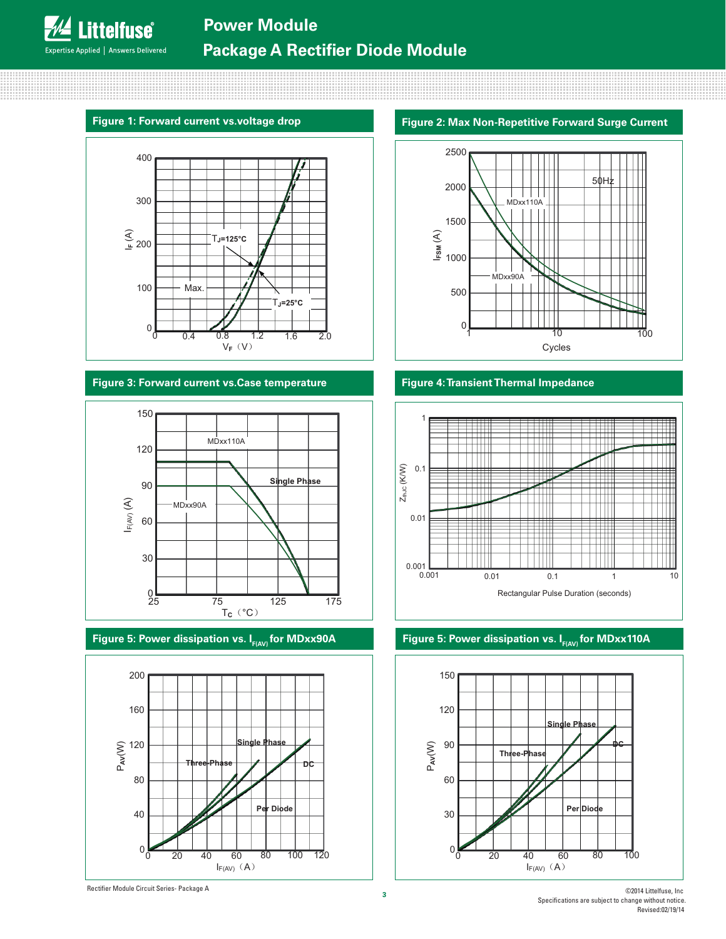#### **Figure 1: Forward current vs.voltage drop**

**Littelfuse**®

Expertise Applied | Answers Delivered



#### **Figure 3: Forward current vs.Case temperature**



Figure 5: Power dissipation vs. I<sub>F(AV)</sub> for MDxx90A



#### **Figure 2: Max Non-Repetitive Forward Surge Current**



#### **Figure 4: Transient Thermal Impedance**



#### Figure 5: Power dissipation vs. I<sub>F(AV)</sub> for MDxx110A